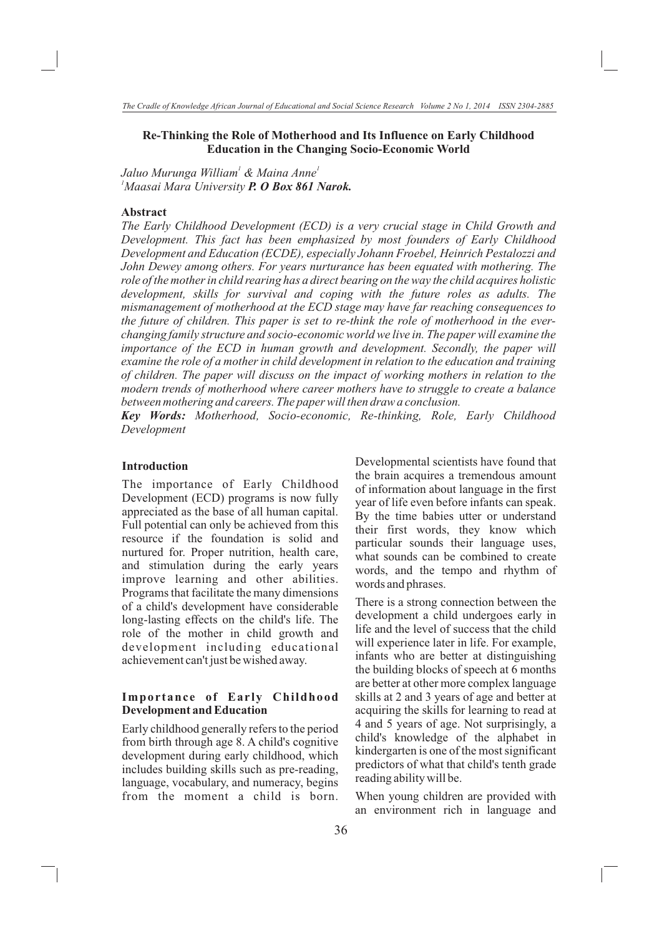#### **Re-Thinking the Role of Motherhood and Its Influence on Early Childhood Education in the Changing Socio-Economic World**

*1 1 Jaluo Murunga William & Maina Anne <sup>1</sup>Maasai Mara University P. O Box 861 Narok.*

## **Abstract**

*The Early Childhood Development (ECD) is a very crucial stage in Child Growth and Development. This fact has been emphasized by most founders of Early Childhood Development and Education (ECDE), especially Johann Froebel, Heinrich Pestalozzi and John Dewey among others. For years nurturance has been equated with mothering. The role of the mother in child rearing has a direct bearing on the way the child acquires holistic development, skills for survival and coping with the future roles as adults. The mismanagement of motherhood at the ECD stage may have far reaching consequences to the future of children. This paper is set to re-think the role of motherhood in the everchanging family structure and socio-economic world we live in. The paper will examine the importance of the ECD in human growth and development. Secondly, the paper will examine the role of a mother in child development in relation to the education and training of children. The paper will discuss on the impact of working mothers in relation to the modern trends of motherhood where career mothers have to struggle to create a balance between mothering and careers. The paper will then draw a conclusion.* 

*Key Words: Motherhood, Socio-economic, Re-thinking, Role, Early Childhood Development*

#### **Introduction**

The importance of Early Childhood Development (ECD) programs is now fully appreciated as the base of all human capital. Full potential can only be achieved from this resource if the foundation is solid and nurtured for. Proper nutrition, health care, and stimulation during the early years improve learning and other abilities. Programs that facilitate the many dimensions of a child's development have considerable long-lasting effects on the child's life. The role of the mother in child growth and development including educational achievement can't just be wished away.

#### **Importance of Early Childhood Development and Education**

Early childhood generally refers to the period from birth through age 8. A child's cognitive development during early childhood, which includes building skills such as pre-reading, language, vocabulary, and numeracy, begins from the moment a child is born.

Developmental scientists have found that the brain acquires a tremendous amount of information about language in the first year of life even before infants can speak. By the time babies utter or understand their first words, they know which particular sounds their language uses, what sounds can be combined to create words, and the tempo and rhythm of words and phrases.

There is a strong connection between the development a child undergoes early in life and the level of success that the child will experience later in life. For example, infants who are better at distinguishing the building blocks of speech at 6 months are better at other more complex language skills at 2 and 3 years of age and better at acquiring the skills for learning to read at 4 and 5 years of age. Not surprisingly, a child's knowledge of the alphabet in kindergarten is one of the most significant predictors of what that child's tenth grade reading ability will be.

When young children are provided with an environment rich in language and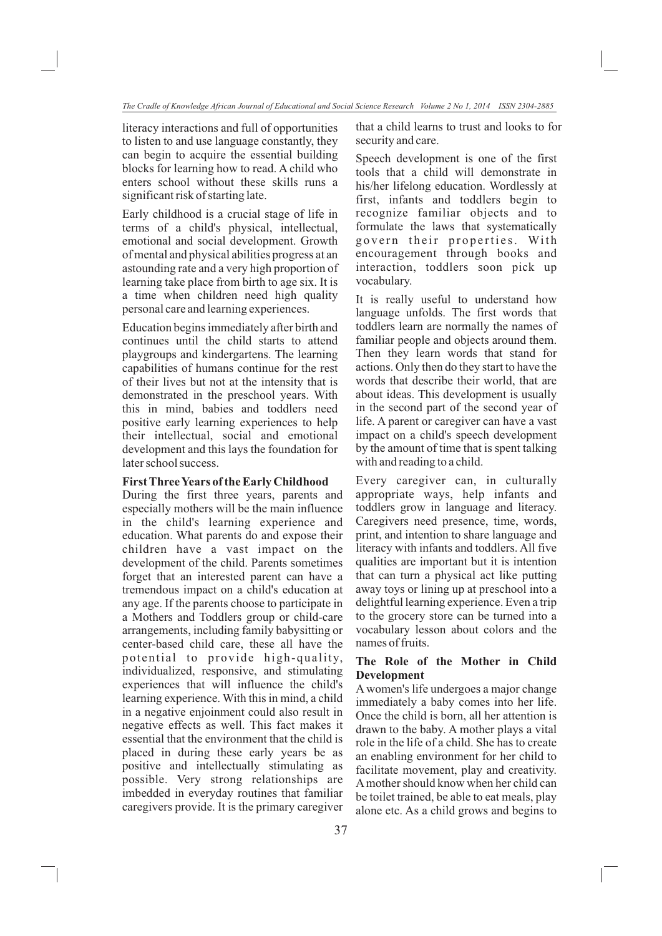literacy interactions and full of opportunities to listen to and use language constantly, they can begin to acquire the essential building blocks for learning how to read. A child who enters school without these skills runs a significant risk of starting late.

Early childhood is a crucial stage of life in terms of a child's physical, intellectual, emotional and social development. Growth of mental and physical abilities progress at an astounding rate and a very high proportion of learning take place from birth to age six. It is a time when children need high quality personal care and learning experiences.

Education begins immediately after birth and continues until the child starts to attend playgroups and kindergartens. The learning capabilities of humans continue for the rest of their lives but not at the intensity that is demonstrated in the preschool years. With this in mind, babies and toddlers need positive early learning experiences to help their intellectual, social and emotional development and this lays the foundation for later school success.

#### **First Three Years of the Early Childhood**

During the first three years, parents and especially mothers will be the main influence in the child's learning experience and education. What parents do and expose their children have a vast impact on the development of the child. Parents sometimes forget that an interested parent can have a tremendous impact on a child's education at any age. If the parents choose to participate in a Mothers and Toddlers group or child-care arrangements, including family babysitting or center-based child care, these all have the potential to provide high-quality, individualized, responsive, and stimulating experiences that will influence the child's learning experience. With this in mind, a child in a negative enjoinment could also result in negative effects as well. This fact makes it essential that the environment that the child is placed in during these early years be as positive and intellectually stimulating as possible. Very strong relationships are imbedded in everyday routines that familiar caregivers provide. It is the primary caregiver that a child learns to trust and looks to for security and care.

Speech development is one of the first tools that a child will demonstrate in his/her lifelong education. Wordlessly at first, infants and toddlers begin to recognize familiar objects and to formulate the laws that systematically govern their properties. With encouragement through books and interaction, toddlers soon pick up vocabulary.

It is really useful to understand how language unfolds. The first words that toddlers learn are normally the names of familiar people and objects around them. Then they learn words that stand for actions. Only then do they start to have the words that describe their world, that are about ideas. This development is usually in the second part of the second year of life. A parent or caregiver can have a vast impact on a child's speech development by the amount of time that is spent talking with and reading to a child.

Every caregiver can, in culturally appropriate ways, help infants and toddlers grow in language and literacy. Caregivers need presence, time, words, print, and intention to share language and literacy with infants and toddlers. All five qualities are important but it is intention that can turn a physical act like putting away toys or lining up at preschool into a delightful learning experience. Even a trip to the grocery store can be turned into a vocabulary lesson about colors and the names of fruits.

# **The Role of the Mother in Child Development**

A women's life undergoes a major change immediately a baby comes into her life. Once the child is born, all her attention is drawn to the baby. A mother plays a vital role in the life of a child. She has to create an enabling environment for her child to facilitate movement, play and creativity. A mother should know when her child can be toilet trained, be able to eat meals, play alone etc. As a child grows and begins to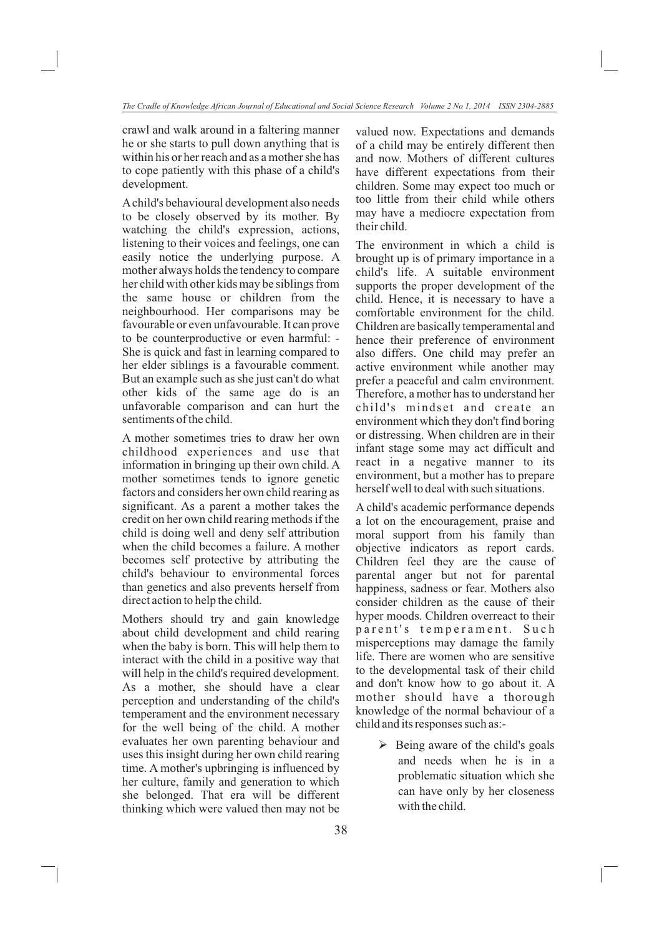crawl and walk around in a faltering manner he or she starts to pull down anything that is within his or her reach and as a mother she has to cope patiently with this phase of a child's development.

A child's behavioural development also needs to be closely observed by its mother. By watching the child's expression, actions, listening to their voices and feelings, one can easily notice the underlying purpose. A mother always holds the tendency to compare her child with other kids may be siblings from the same house or children from the neighbourhood. Her comparisons may be favourable or even unfavourable. It can prove to be counterproductive or even harmful: - She is quick and fast in learning compared to her elder siblings is a favourable comment. But an example such as she just can't do what other kids of the same age do is an unfavorable comparison and can hurt the sentiments of the child.

A mother sometimes tries to draw her own childhood experiences and use that information in bringing up their own child. A mother sometimes tends to ignore genetic factors and considers her own child rearing as significant. As a parent a mother takes the credit on her own child rearing methods if the child is doing well and deny self attribution when the child becomes a failure. A mother becomes self protective by attributing the child's behaviour to environmental forces than genetics and also prevents herself from direct action to help the child.

Mothers should try and gain knowledge about child development and child rearing when the baby is born. This will help them to interact with the child in a positive way that will help in the child's required development. As a mother, she should have a clear perception and understanding of the child's temperament and the environment necessary for the well being of the child. A mother evaluates her own parenting behaviour and uses this insight during her own child rearing time. A mother's upbringing is influenced by her culture, family and generation to which she belonged. That era will be different thinking which were valued then may not be

valued now. Expectations and demands of a child may be entirely different then and now. Mothers of different cultures have different expectations from their children. Some may expect too much or too little from their child while others may have a mediocre expectation from their child.

The environment in which a child is brought up is of primary importance in a child's life. A suitable environment supports the proper development of the child. Hence, it is necessary to have a comfortable environment for the child. Children are basically temperamental and hence their preference of environment also differs. One child may prefer an active environment while another may prefer a peaceful and calm environment. Therefore, a mother has to understand her child's mindset and create an environment which they don't find boring or distressing. When children are in their infant stage some may act difficult and react in a negative manner to its environment, but a mother has to prepare herself well to deal with such situations.

A child's academic performance depends a lot on the encouragement, praise and moral support from his family than objective indicators as report cards. Children feel they are the cause of parental anger but not for parental happiness, sadness or fear. Mothers also consider children as the cause of their hyper moods. Children overreact to their parent's temperament. Such misperceptions may damage the family life. There are women who are sensitive to the developmental task of their child and don't know how to go about it. A mother should have a thorough knowledge of the normal behaviour of a child and its responses such as:-

> $\triangleright$  Being aware of the child's goals and needs when he is in a problematic situation which she can have only by her closeness with the child.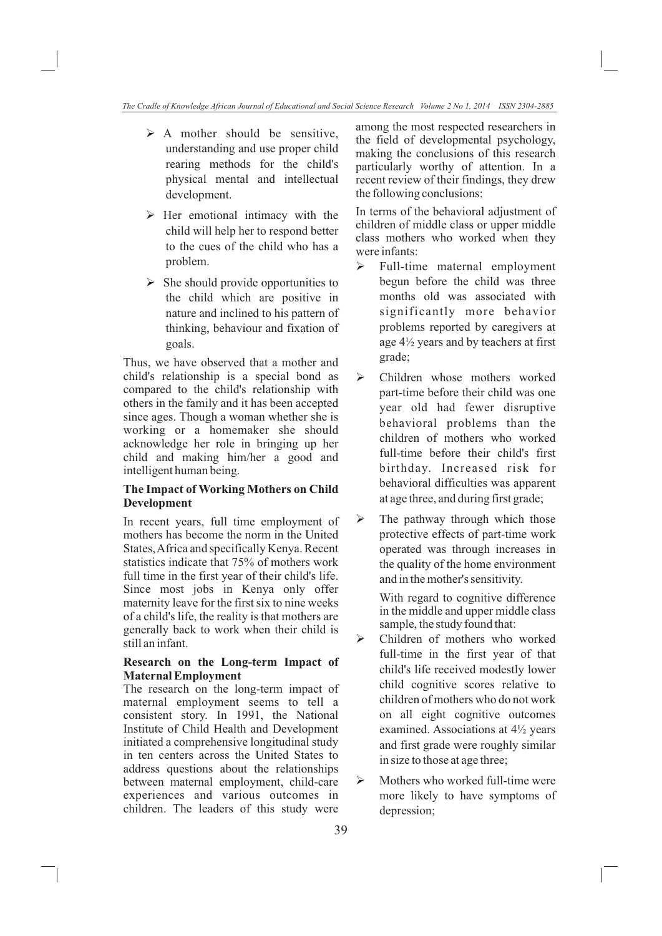- $\triangleright$  A mother should be sensitive, understanding and use proper child rearing methods for the child's physical mental and intellectual development.
- Ø Her emotional intimacy with the child will help her to respond better to the cues of the child who has a problem.
- Ø She should provide opportunities to the child which are positive in nature and inclined to his pattern of thinking, behaviour and fixation of goals.

Thus, we have observed that a mother and child's relationship is a special bond as compared to the child's relationship with others in the family and it has been accepted since ages. Though a woman whether she is working or a homemaker she should acknowledge her role in bringing up her child and making him/her a good and intelligent human being.

# **The Impact of Working Mothers on Child Development**

In recent years, full time employment of mothers has become the norm in the United States, Africa and specifically Kenya. Recent statistics indicate that 75% of mothers work full time in the first year of their child's life. Since most jobs in Kenya only offer maternity leave for the first six to nine weeks of a child's life, the reality is that mothers are generally back to work when their child is still an infant.

### **Research on the Long-term Impact of Maternal Employment**

The research on the long-term impact of maternal employment seems to tell a consistent story. In 1991, the National Institute of Child Health and Development initiated a comprehensive longitudinal study in ten centers across the United States to address questions about the relationships between maternal employment, child-care experiences and various outcomes in children. The leaders of this study were

among the most respected researchers in the field of developmental psychology, making the conclusions of this research particularly worthy of attention. In a recent review of their findings, they drew the following conclusions:

In terms of the behavioral adjustment of children of middle class or upper middle class mothers who worked when they were infants:

- $\triangleright$  Full-time maternal employment begun before the child was three months old was associated with significantly more behavior problems reported by caregivers at age 4½ years and by teachers at first grade;
- Ø Children whose mothers worked part-time before their child was one year old had fewer disruptive behavioral problems than the children of mothers who worked full-time before their child's first birthday. Increased risk for behavioral difficulties was apparent at age three, and during first grade;
- Ø The pathway through which those protective effects of part-time work operated was through increases in the quality of the home environment and in the mother's sensitivity.

With regard to cognitive difference in the middle and upper middle class sample, the study found that:

- Ø Children of mothers who worked full-time in the first year of that child's life received modestly lower child cognitive scores relative to children of mothers who do not work on all eight cognitive outcomes examined. Associations at 4½ years and first grade were roughly similar in size to those at age three;
- Ø Mothers who worked full-time were more likely to have symptoms of depression;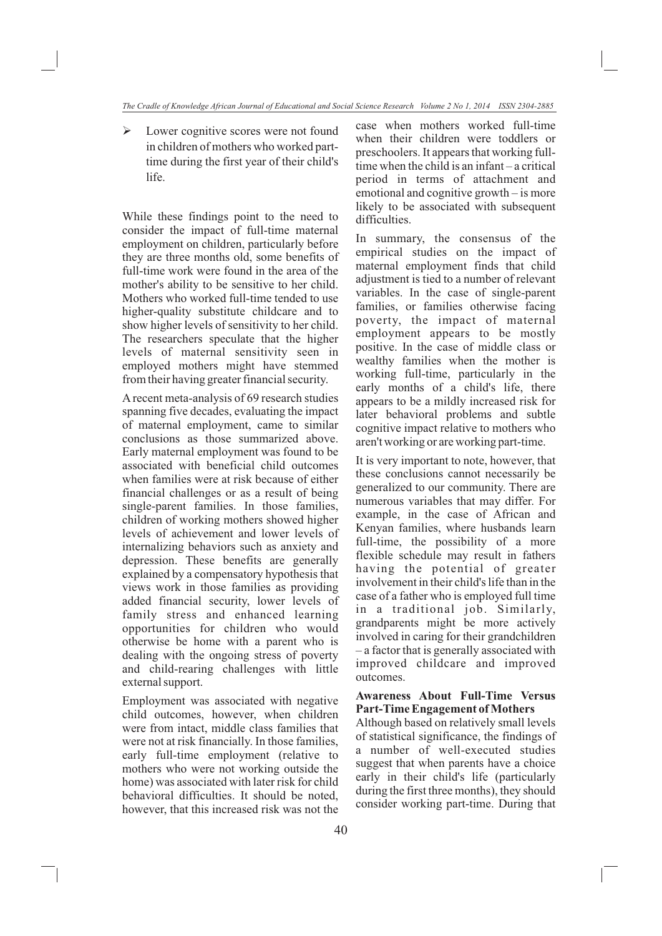$\triangleright$  Lower cognitive scores were not found in children of mothers who worked parttime during the first year of their child's life.

While these findings point to the need to consider the impact of full-time maternal employment on children, particularly before they are three months old, some benefits of full-time work were found in the area of the mother's ability to be sensitive to her child. Mothers who worked full-time tended to use higher-quality substitute childcare and to show higher levels of sensitivity to her child. The researchers speculate that the higher levels of maternal sensitivity seen in employed mothers might have stemmed from their having greater financial security.

A recent meta-analysis of 69 research studies spanning five decades, evaluating the impact of maternal employment, came to similar conclusions as those summarized above. Early maternal employment was found to be associated with beneficial child outcomes when families were at risk because of either financial challenges or as a result of being single-parent families. In those families, children of working mothers showed higher levels of achievement and lower levels of internalizing behaviors such as anxiety and depression. These benefits are generally explained by a compensatory hypothesis that views work in those families as providing added financial security, lower levels of family stress and enhanced learning opportunities for children who would otherwise be home with a parent who is dealing with the ongoing stress of poverty and child-rearing challenges with little external support.

Employment was associated with negative child outcomes, however, when children were from intact, middle class families that were not at risk financially. In those families, early full-time employment (relative to mothers who were not working outside the home) was associated with later risk for child behavioral difficulties. It should be noted, however, that this increased risk was not the case when mothers worked full-time when their children were toddlers or preschoolers. It appears that working fulltime when the child is an infant – a critical period in terms of attachment and emotional and cognitive growth – is more likely to be associated with subsequent difficulties.

In summary, the consensus of the empirical studies on the impact of maternal employment finds that child adjustment is tied to a number of relevant variables. In the case of single-parent families, or families otherwise facing poverty, the impact of maternal employment appears to be mostly positive. In the case of middle class or wealthy families when the mother is working full-time, particularly in the early months of a child's life, there appears to be a mildly increased risk for later behavioral problems and subtle cognitive impact relative to mothers who aren't working or are working part-time.

It is very important to note, however, that these conclusions cannot necessarily be generalized to our community. There are numerous variables that may differ. For example, in the case of African and Kenyan families, where husbands learn full-time, the possibility of a more flexible schedule may result in fathers having the potential of greater involvement in their child's life than in the case of a father who is employed full time in a traditional job. Similarly, grandparents might be more actively involved in caring for their grandchildren – a factor that is generally associated with improved childcare and improved outcomes.

### **Awareness About Full-Time Versus Part-Time Engagement of Mothers**

Although based on relatively small levels of statistical significance, the findings of a number of well-executed studies suggest that when parents have a choice early in their child's life (particularly during the first three months), they should consider working part-time. During that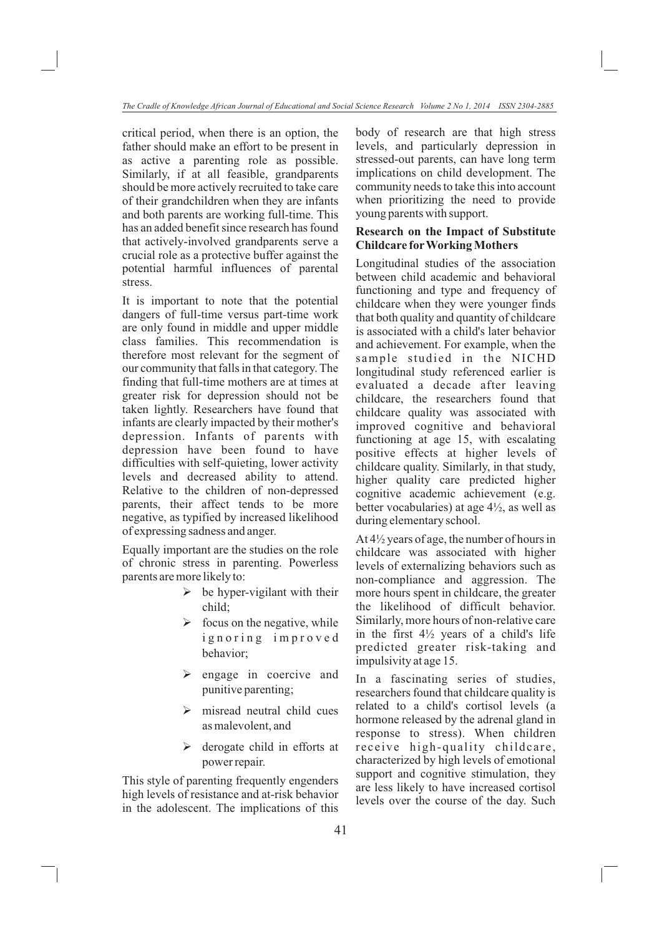critical period, when there is an option, the father should make an effort to be present in as active a parenting role as possible. Similarly, if at all feasible, grandparents should be more actively recruited to take care of their grandchildren when they are infants and both parents are working full-time. This has an added benefit since research has found that actively-involved grandparents serve a crucial role as a protective buffer against the potential harmful influences of parental stress.

It is important to note that the potential dangers of full-time versus part-time work are only found in middle and upper middle class families. This recommendation is therefore most relevant for the segment of our community that falls in that category. The finding that full-time mothers are at times at greater risk for depression should not be taken lightly. Researchers have found that infants are clearly impacted by their mother's depression. Infants of parents with depression have been found to have difficulties with self-quieting, lower activity levels and decreased ability to attend. Relative to the children of non-depressed parents, their affect tends to be more negative, as typified by increased likelihood of expressing sadness and anger.

Equally important are the studies on the role of chronic stress in parenting. Powerless parents are more likely to:

- $\triangleright$  be hyper-vigilant with their child;
- $\triangleright$  focus on the negative, while ignoring improved behavior;
- Ø engage in coercive and punitive parenting;
- Ø misread neutral child cues as malevolent, and
- Ø derogate child in efforts at power repair.

This style of parenting frequently engenders high levels of resistance and at-risk behavior in the adolescent. The implications of this body of research are that high stress levels, and particularly depression in stressed-out parents, can have long term implications on child development. The community needs to take this into account when prioritizing the need to provide young parents with support.

#### **Research on the Impact of Substitute Childcare for Working Mothers**

Longitudinal studies of the association between child academic and behavioral functioning and type and frequency of childcare when they were younger finds that both quality and quantity of childcare is associated with a child's later behavior and achievement. For example, when the sample studied in the NICHD longitudinal study referenced earlier is evaluated a decade after leaving childcare, the researchers found that childcare quality was associated with improved cognitive and behavioral functioning at age 15, with escalating positive effects at higher levels of childcare quality. Similarly, in that study, higher quality care predicted higher cognitive academic achievement (e.g. better vocabularies) at age 4½, as well as during elementary school.

At 4½ years of age, the number of hours in childcare was associated with higher levels of externalizing behaviors such as non-compliance and aggression. The more hours spent in childcare, the greater the likelihood of difficult behavior. Similarly, more hours of non-relative care in the first  $4\frac{1}{2}$  years of a child's life predicted greater risk-taking and impulsivity at age 15.

In a fascinating series of studies, researchers found that childcare quality is related to a child's cortisol levels (a hormone released by the adrenal gland in response to stress). When children receive high-quality childcare, characterized by high levels of emotional support and cognitive stimulation, they are less likely to have increased cortisol levels over the course of the day. Such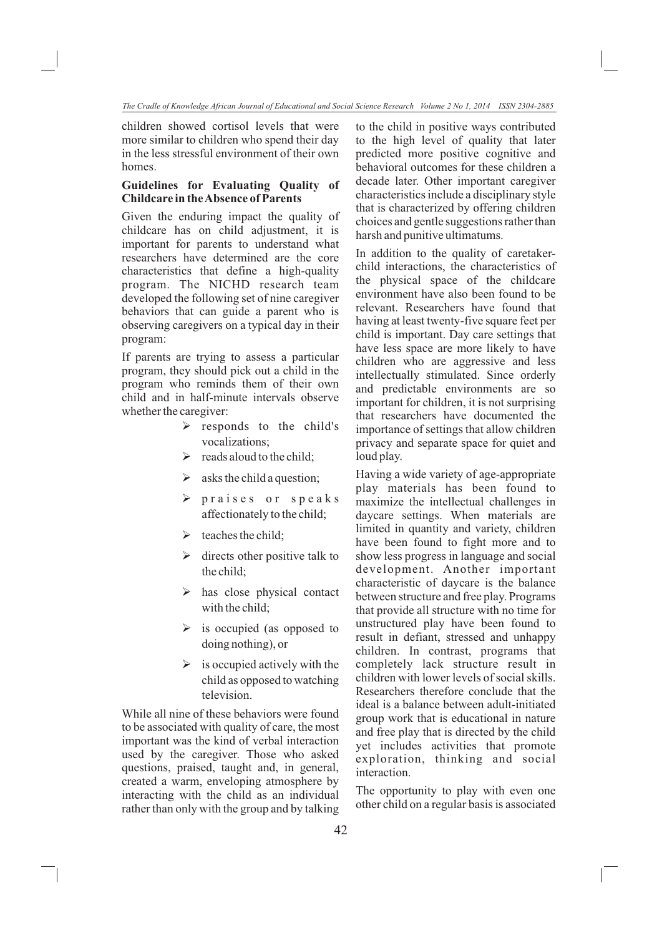children showed cortisol levels that were more similar to children who spend their day in the less stressful environment of their own homes.

# **Guidelines for Evaluating Quality of Childcare in the Absence of Parents**

Given the enduring impact the quality of childcare has on child adjustment, it is important for parents to understand what researchers have determined are the core characteristics that define a high-quality program. The NICHD research team developed the following set of nine caregiver behaviors that can guide a parent who is observing caregivers on a typical day in their program:

If parents are trying to assess a particular program, they should pick out a child in the program who reminds them of their own child and in half-minute intervals observe whether the caregiver:

- $\triangleright$  responds to the child's vocalizations;
- > reads aloud to the child;
- $\triangleright$  asks the child a question;
- $\triangleright$  praises or speaks affectionately to the child;
- $\blacktriangleright$  teaches the child;
- Ø directs other positive talk to the child;
- Ø has close physical contact with the child;
- Ø is occupied (as opposed to doing nothing), or
- $\triangleright$  is occupied actively with the child as opposed to watching television.

While all nine of these behaviors were found to be associated with quality of care, the most important was the kind of verbal interaction used by the caregiver. Those who asked questions, praised, taught and, in general, created a warm, enveloping atmosphere by interacting with the child as an individual rather than only with the group and by talking to the child in positive ways contributed to the high level of quality that later predicted more positive cognitive and behavioral outcomes for these children a decade later. Other important caregiver characteristics include a disciplinary style that is characterized by offering children choices and gentle suggestions rather than harsh and punitive ultimatums.

In addition to the quality of caretakerchild interactions, the characteristics of the physical space of the childcare environment have also been found to be relevant. Researchers have found that having at least twenty-five square feet per child is important. Day care settings that have less space are more likely to have children who are aggressive and less intellectually stimulated. Since orderly and predictable environments are so important for children, it is not surprising that researchers have documented the importance of settings that allow children privacy and separate space for quiet and loud play.

Having a wide variety of age-appropriate play materials has been found to maximize the intellectual challenges in daycare settings. When materials are limited in quantity and variety, children have been found to fight more and to show less progress in language and social development. Another important characteristic of daycare is the balance between structure and free play. Programs that provide all structure with no time for unstructured play have been found to result in defiant, stressed and unhappy children. In contrast, programs that completely lack structure result in children with lower levels of social skills. Researchers therefore conclude that the ideal is a balance between adult-initiated group work that is educational in nature and free play that is directed by the child yet includes activities that promote exploration, thinking and social interaction.

The opportunity to play with even one other child on a regular basis is associated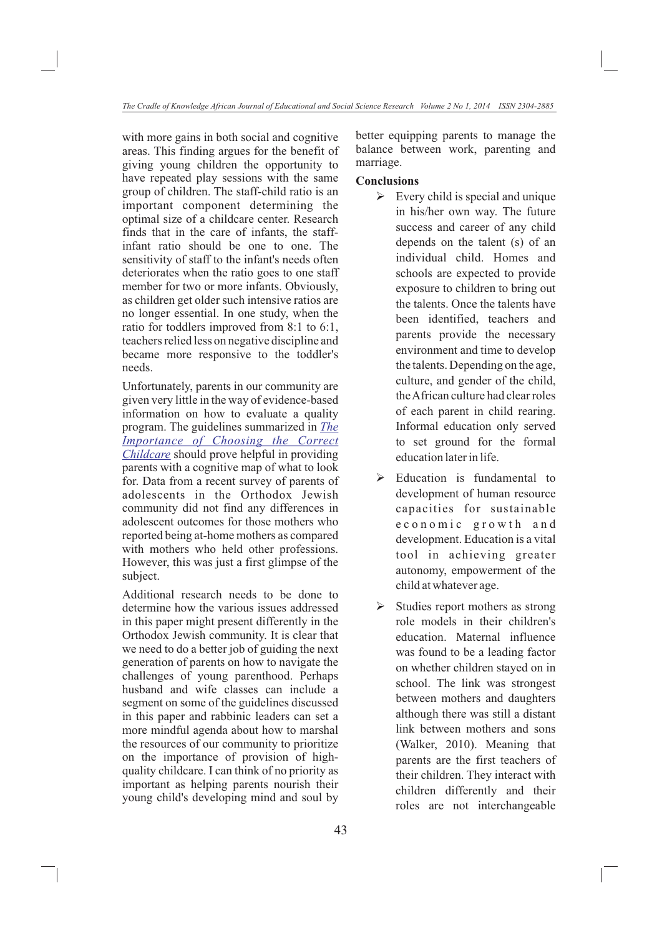with more gains in both social and cognitive areas. This finding argues for the benefit of giving young children the opportunity to have repeated play sessions with the same group of children. The staff-child ratio is an important component determining the optimal size of a childcare center. Research finds that in the care of infants, the staffinfant ratio should be one to one. The sensitivity of staff to the infant's needs often deteriorates when the ratio goes to one staff member for two or more infants. Obviously, as children get older such intensive ratios are no longer essential. In one study, when the ratio for toddlers improved from 8:1 to 6:1, teachers relied less on negative discipline and became more responsive to the toddler's needs.

Unfortunately, parents in our community are given very little in the way of evidence-based information on how to evaluate a quality program. The guidelines summarized in *The*  Childcare should prove helpful in providing parents with a cognitive map of what to look for. Data from a recent survey of parents of adolescents in the Orthodox Jewish community did not find any differences in adolescent outcomes for those mothers who reported being at-home mothers as compared with mothers who held other professions. However, this was just a first glimpse of the subject. *Importance of Choosing the Correct* 

Additional research needs to be done to determine how the various issues addressed in this paper might present differently in the Orthodox Jewish community. It is clear that we need to do a better job of guiding the next generation of parents on how to navigate the challenges of young parenthood. Perhaps husband and wife classes can include a segment on some of the guidelines discussed in this paper and rabbinic leaders can set a more mindful agenda about how to marshal the resources of our community to prioritize on the importance of provision of highquality childcare. I can think of no priority as important as helping parents nourish their young child's developing mind and soul by better equipping parents to manage the balance between work, parenting and marriage.

# **Conclusions**

- $\triangleright$  Every child is special and unique in his/her own way. The future success and career of any child depends on the talent (s) of an individual child. Homes and schools are expected to provide exposure to children to bring out the talents. Once the talents have been identified, teachers and parents provide the necessary environment and time to develop the talents. Depending on the age, culture, and gender of the child, the African culture had clear roles of each parent in child rearing. Informal education only served to set ground for the formal education later in life.
- Ø Education is fundamental to development of human resource capacities for sustainable e c o n o m i c g r o w th and development. Education is a vital tool in achieving greater autonomy, empowerment of the child at whatever age.
- Ø Studies report mothers as strong role models in their children's education. Maternal influence was found to be a leading factor on whether children stayed on in school. The link was strongest between mothers and daughters although there was still a distant link between mothers and sons (Walker, 2010). Meaning that parents are the first teachers of their children. They interact with children differently and their roles are not interchangeable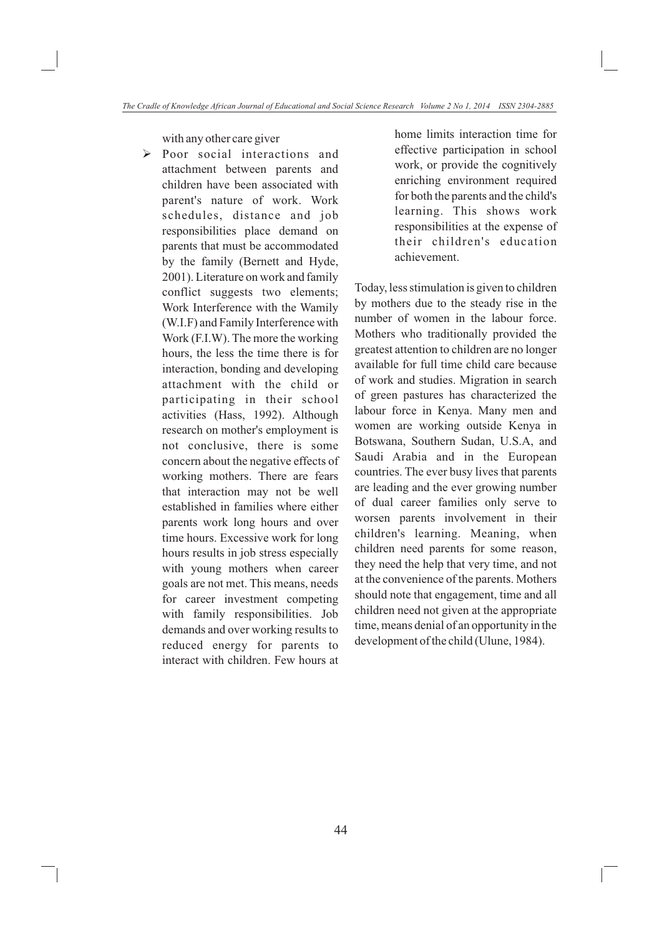with any other care giver

Ø Poor social interactions and attachment between parents and children have been associated with parent's nature of work. Work schedules, distance and job responsibilities place demand on parents that must be accommodated by the family (Bernett and Hyde, 2001). Literature on work and family conflict suggests two elements; Work Interference with the Wamily (W.I.F) and Family Interference with Work (F.I.W). The more the working hours, the less the time there is for interaction, bonding and developing attachment with the child or participating in their school activities (Hass, 1992). Although research on mother's employment is not conclusive, there is some concern about the negative effects of working mothers. There are fears that interaction may not be well established in families where either parents work long hours and over time hours. Excessive work for long hours results in job stress especially with young mothers when career goals are not met. This means, needs for career investment competing with family responsibilities. Job demands and over working results to reduced energy for parents to interact with children. Few hours at

home limits interaction time for effective participation in school work, or provide the cognitively enriching environment required for both the parents and the child's learning. This shows work responsibilities at the expense of their children's education achievement.

Today, less stimulation is given to children by mothers due to the steady rise in the number of women in the labour force. Mothers who traditionally provided the greatest attention to children are no longer available for full time child care because of work and studies. Migration in search of green pastures has characterized the labour force in Kenya. Many men and women are working outside Kenya in Botswana, Southern Sudan, U.S.A, and Saudi Arabia and in the European countries. The ever busy lives that parents are leading and the ever growing number of dual career families only serve to worsen parents involvement in their children's learning. Meaning, when children need parents for some reason, they need the help that very time, and not at the convenience of the parents. Mothers should note that engagement, time and all children need not given at the appropriate time, means denial of an opportunity in the development of the child (Ulune, 1984).